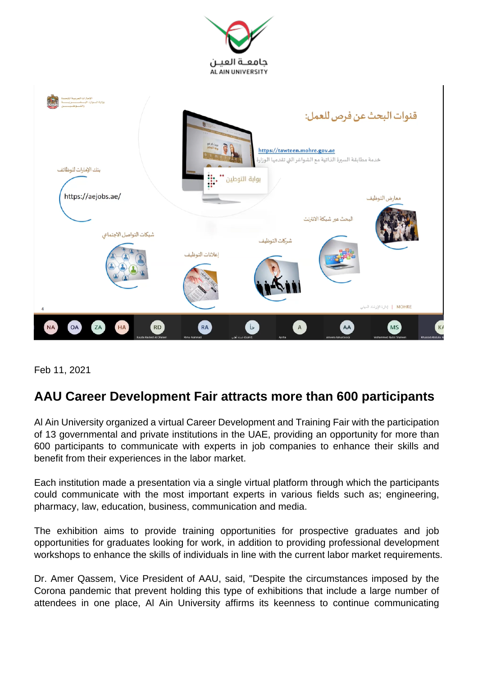



Feb 11, 2021

## **AAU Career Development Fair attracts more than 600 participants**

Al Ain University organized a virtual Career Development and Training Fair with the participation of 13 governmental and private institutions in the UAE, providing an opportunity for more than 600 participants to communicate with experts in job companies to enhance their skills and benefit from their experiences in the labor market.

Each institution made a presentation via a single virtual platform through which the participants could communicate with the most important experts in various fields such as; engineering, pharmacy, law, education, business, communication and media.

The exhibition aims to provide training opportunities for prospective graduates and job opportunities for graduates looking for work, in addition to providing professional development workshops to enhance the skills of individuals in line with the current labor market requirements.

Dr. Amer Qassem, Vice President of AAU, said, "Despite the circumstances imposed by the Corona pandemic that prevent holding this type of exhibitions that include a large number of attendees in one place, Al Ain University affirms its keenness to continue communicating